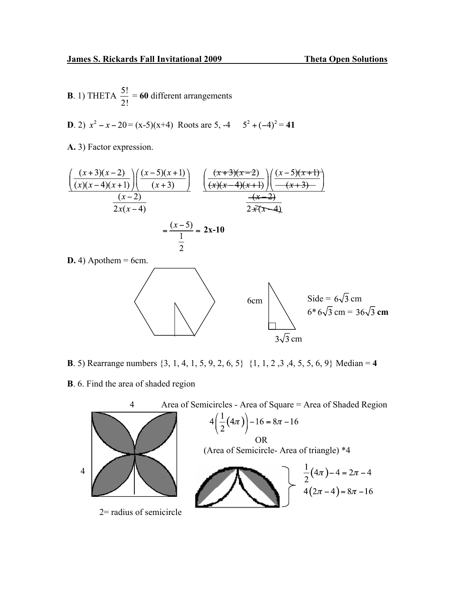**B**. 1) THETA  $\frac{5!}{2!}$  = **60** different arrangements

**D**. 2)  $x^2 - x - 20 = (x-5)(x+4)$  Roots are 5, -4  $5^2 + (-4)^2 = 41$ 

**A.** 3) Factor expression.

$$
\frac{\left(\frac{(x+3)(x-2)}{(x)(x-4)(x+1)}\right)\left(\frac{(x-5)(x+1)}{(x+3)}\right)}{\frac{(x-2)}{2x(x-4)}} \quad \frac{\left(\frac{(x+3)(x-2)}{(x+4)(x+1)}\right)\left(\frac{(x-5)(x+1)}{-(x+3)}\right)}{\frac{-(x-2)}{2x(x-4)}}
$$
\n
$$
=\frac{(x-5)}{\frac{1}{2}} = 2x-10
$$

 $D. 4$ ) Apothem = 6cm.



- **B**. 5) Rearrange numbers {3, 1, 4, 1, 5, 9, 2, 6, 5} {1, 1, 2 ,3 ,4, 5, 5, 6, 9} Median = **4**  $\overline{1}$
- **B**. 6. Find the area of shaded region

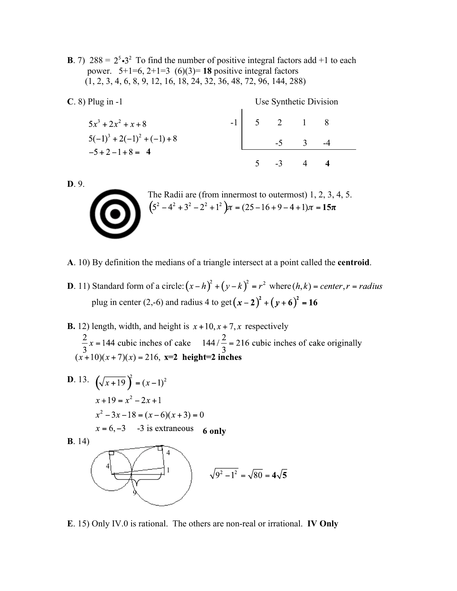**B**. 7) 288 =  $2^5 \cdot 3^2$  To find the number of positive integral factors add +1 to each power.  $5+1=6$ ,  $2+1=3$  (6)(3)= **18** positive integral factors (1, 2, 3, 4, 6, 8, 9, 12, 16, 18, 24, 32, 36, 48, 72, 96, 144, 288)

| $C. 8$ ) Plug in -1            | Use Synthetic Division |  |                    |                         |  |  |
|--------------------------------|------------------------|--|--------------------|-------------------------|--|--|
| $5x^3 + 2x^2 + x + 8$          |                        |  | $5 \t 2 \t 1 \t 8$ |                         |  |  |
| $5(-1)^3 + 2(-1)^2 + (-1) + 8$ |                        |  | $-5$               | $\overline{\mathbf{3}}$ |  |  |
| $-5+2-1+8=4$                   |                        |  | $-3$               |                         |  |  |

**D**. 9.



| The Radii are (from innermost to outermost) $1, 2, 3, 4, 5$ .         |
|-----------------------------------------------------------------------|
| $(5^2 - 4^2 + 3^2 - 2^2 + 1^2)\pi = (25 - 16 + 9 - 4 + 1)\pi = 15\pi$ |
|                                                                       |

- **A**. 10) By definition the medians of a triangle intersect at a point called the **centroid**.
- **D**. 11) Standard form of a circle:  $(x-h)^2 + (y-k)^2 = r^2$  where  $(h, k) = center, r = radius$ plug in center (2,-6) and radius 4 to get  $(x - 2)^2 + (y + 6)^2 = 16$
- **B.** 12) length, width, and height is  $x + 10$ ,  $x + 7$ , x respectively  $\frac{2}{3}x = 144$  cubic inches of cake  $144/\frac{2}{3} = 216$  cubic inches of cake originally  $(x+10)(x+7)(x) = 216$ ,  $x=2$  height=2 inches

**D.** 13. 
$$
(\sqrt{x+19})^2 = (x-1)^2
$$
  
\n $x+19 = x^2 - 2x + 1$   
\n $x^2 - 3x - 18 = (x-6)(x+3) = 0$   
\n $x = 6, -3$  -3 is extraneous 6 only  
\n**B.** 14)  
\n**6.**  
\n**7.**  
\n**8.** 14  
\n**9.**  
\n**10.**  
\n**11.**  
\n**21.**  
\n**3**  
\n**4**  
\n**5**  
\n**6.**  
\n**9.**  
\n**1**  
\n**1**  
\n**1**  
\n**1**  
\n**1**  
\n**1**  
\n**1**  
\n**1**  
\n**1**  
\n**1**  
\n**1**  
\n**1**  
\n**1**  
\n**1**  
\n**1**  
\n**1**  
\n**1**  
\n**1**  
\n**1**  
\n**1**  
\n**1**  
\n**1**  
\n**1**  
\n**1**  
\n**1**  
\n**1**  
\n**1**  
\n**1**  
\n**1**  
\n**1**  
\n**1**  
\n**1**  
\n**1**  
\n**1**  
\n**1**  
\n**1**  
\n**1**  
\n**1**  
\n**1**  
\n**1**  
\n**1**  
\n**1**  
\n**1**  
\n**1**  
\n**1**  
\n**1**  
\n**1**  
\n**1**  
\n**1**  
\n**1**  
\n**1**  
\n**1**  
\n**1**  
\n**1**  
\n**1**  
\n**1**  
\n**1**  
\n**1**  
\n**1**

**E**. 15) Only IV.0 is rational. The others are non-real or irrational. **IV Only**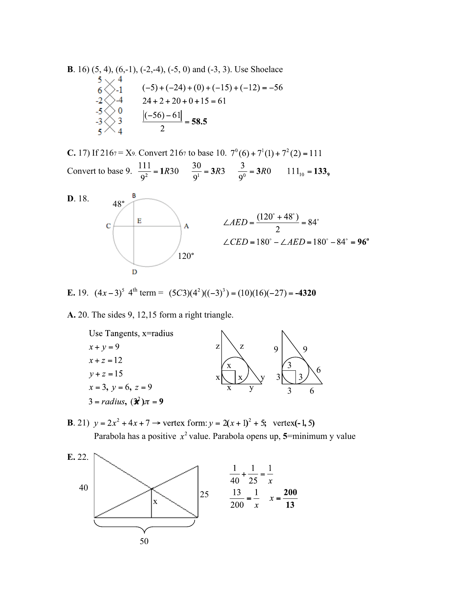**B.** 16) (5, 4), (6,-1), (-2,-4), (-5, 0) and (-3, 3). Use Shoelace  
\n
$$
\begin{array}{r}5 \times 4 \\
6 \times -1 \\
-2 \times -4 \\
-3 \times 3\n\end{array}
$$
\n $(-5) + (-24) + (0) + (-15) + (-12) = -56$   
\n $-2 \times -4 \\
-5 \times 0 \\
-3 \times 3 \\
-5 \times 4\n\end{array}$ \n
$$
\underline{[-56] - 61]} = 58.5
$$

**C.** 17) If 2167 = X9. Convert 2167 to base 10.  $7^{\circ}(6) + 7^{\circ}(1) + 7^{\circ}(2) = 111$ Convert to base 9.  $\frac{111}{9^2} = 1R30$   $\frac{30}{9^1} = 3R3$   $\frac{3}{9^0} = 3R0$   $111_{10} = 133$ ,



**E.** 19. 
$$
(4x-3)^5
$$
 4<sup>th</sup> term =  $(5C3)(4^2)((-3)^3) = (10)(16)(-27) = -4320$ 

**A.** 20. The sides 9, 12,15 form a right triangle.



**B**. 21)  $y = 2x^2 + 4x + 7 \rightarrow$  vertex form:  $y = 2(x + 1)^2 + 5$ ; vertex(-1, 5) Parabola has a positive  $x^2$  value. Parabola opens up, 5=minimum y value